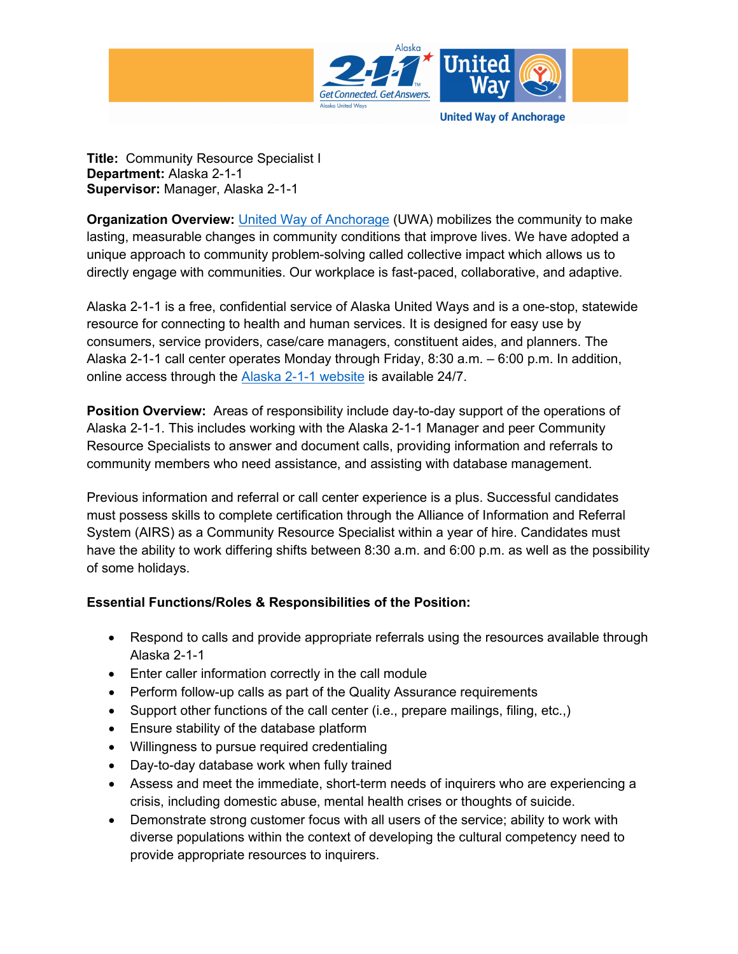

**Title:** Community Resource Specialist I **Department:** Alaska 2-1-1 **Supervisor:** Manager, Alaska 2-1-1

**Organization Overview:** [United Way of Anchorage](http://www.liveunitedanc.org/) (UWA) mobilizes the community to make lasting, measurable changes in community conditions that improve lives. We have adopted a unique approach to community problem-solving called collective impact which allows us to directly engage with communities. Our workplace is fast-paced, collaborative, and adaptive.

Alaska 2-1-1 is a free, confidential service of Alaska United Ways and is a one-stop, statewide resource for connecting to health and human services. It is designed for easy use by consumers, service providers, case/care managers, constituent aides, and planners. The Alaska 2-1-1 call center operates Monday through Friday, 8:30 a.m. – 6:00 p.m. In addition, online access through the [Alaska 2-1-1 website](http://www.alaska211.org/) is available 24/7.

**Position Overview:** Areas of responsibility include day-to-day support of the operations of Alaska 2-1-1. This includes working with the Alaska 2-1-1 Manager and peer Community Resource Specialists to answer and document calls, providing information and referrals to community members who need assistance, and assisting with database management.

Previous information and referral or call center experience is a plus. Successful candidates must possess skills to complete certification through the Alliance of Information and Referral System (AIRS) as a Community Resource Specialist within a year of hire. Candidates must have the ability to work differing shifts between 8:30 a.m. and 6:00 p.m. as well as the possibility of some holidays.

## **Essential Functions/Roles & Responsibilities of the Position:**

- Respond to calls and provide appropriate referrals using the resources available through Alaska 2-1-1
- Enter caller information correctly in the call module
- Perform follow-up calls as part of the Quality Assurance requirements
- Support other functions of the call center (i.e., prepare mailings, filing, etc..)
- Ensure stability of the database platform
- Willingness to pursue required credentialing
- Day-to-day database work when fully trained
- Assess and meet the immediate, short-term needs of inquirers who are experiencing a crisis, including domestic abuse, mental health crises or thoughts of suicide.
- Demonstrate strong customer focus with all users of the service; ability to work with diverse populations within the context of developing the cultural competency need to provide appropriate resources to inquirers.